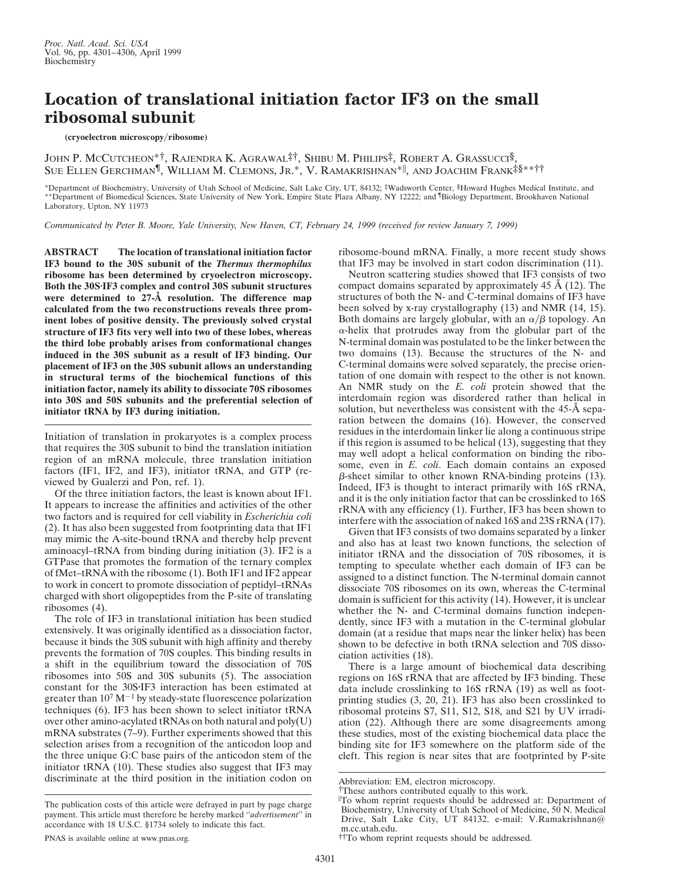# **Location of translational initiation factor IF3 on the small ribosomal subunit**

#### (cryoelectron microscopy/ribosome)

JOHN P. MCCUTCHEON\*†, RAJENDRA K. AGRAWAL‡†, SHIBU M. PHILIPS‡, ROBERT A. GRASSUCCI§, Sue Ellen Gerchman¶, William M. Clemons, Jr.\*, V. Ramakrishnan\*||, and Joachim Frank‡§\*\*††

\*Department of Biochemistry, University of Utah School of Medicine, Salt Lake City, UT, 84132; ‡Wadsworth Center, §Howard Hughes Medical Institute, and \*\*Department of Biomedical Sciences, State University of New York, Empire State Plaza Albany, NY 12222; and <sup>¶</sup>Biology Department, Brookhaven National Laboratory, Upton, NY 11973

*Communicated by Peter B. Moore, Yale University, New Haven, CT, February 24, 1999 (received for review January 7, 1999)*

**ABSTRACT The location of translational initiation factor IF3 bound to the 30S subunit of the** *Thermus thermophilus* **ribosome has been determined by cryoelectron microscopy.** Both the 30S<sup>·</sup>IF3 complex and control 30S subunit structures **were determined to 27-Å resolution. The difference map calculated from the two reconstructions reveals three prominent lobes of positive density. The previously solved crystal structure of IF3 fits very well into two of these lobes, whereas the third lobe probably arises from conformational changes induced in the 30S subunit as a result of IF3 binding. Our placement of IF3 on the 30S subunit allows an understanding in structural terms of the biochemical functions of this initiation factor, namely its ability to dissociate 70S ribosomes into 30S and 50S subunits and the preferential selection of initiator tRNA by IF3 during initiation.**

Initiation of translation in prokaryotes is a complex process that requires the 30S subunit to bind the translation initiation region of an mRNA molecule, three translation initiation factors (IF1, IF2, and IF3), initiator tRNA, and GTP (reviewed by Gualerzi and Pon, ref. 1).

Of the three initiation factors, the least is known about IF1. It appears to increase the affinities and activities of the other two factors and is required for cell viability in *Escherichia coli* (2). It has also been suggested from footprinting data that IF1 may mimic the A-site-bound tRNA and thereby help prevent aminoacyl–tRNA from binding during initiation (3). IF2 is a GTPase that promotes the formation of the ternary complex of fMet–tRNA with the ribosome (1). Both IF1 and IF2 appear to work in concert to promote dissociation of peptidyl–tRNAs charged with short oligopeptides from the P-site of translating ribosomes (4).

The role of IF3 in translational initiation has been studied extensively. It was originally identified as a dissociation factor, because it binds the 30S subunit with high affinity and thereby prevents the formation of 70S couples. This binding results in a shift in the equilibrium toward the dissociation of 70S ribosomes into 50S and 30S subunits (5). The association constant for the 30S·IF3 interaction has been estimated at greater than  $10^7 \, \text{M}^{-1}$  by steady-state fluorescence polarization techniques (6). IF3 has been shown to select initiator tRNA over other amino-acylated tRNAs on both natural and poly(U) mRNA substrates (7–9). Further experiments showed that this selection arises from a recognition of the anticodon loop and the three unique G:C base pairs of the anticodon stem of the initiator tRNA (10). These studies also suggest that IF3 may discriminate at the third position in the initiation codon on

The publication costs of this article were defrayed in part by page charge payment. This article must therefore be hereby marked ''*advertisement*'' in accordance with 18 U.S.C. §1734 solely to indicate this fact.

ribosome-bound mRNA. Finally, a more recent study shows that IF3 may be involved in start codon discrimination (11).

Neutron scattering studies showed that IF3 consists of two compact domains separated by approximately 45 Å (12). The structures of both the N- and C-terminal domains of IF3 have been solved by x-ray crystallography (13) and NMR (14, 15). Both domains are largely globular, with an  $\alpha/\beta$  topology. An  $\alpha$ -helix that protrudes away from the globular part of the N-terminal domain was postulated to be the linker between the two domains (13). Because the structures of the N- and C-terminal domains were solved separately, the precise orientation of one domain with respect to the other is not known. An NMR study on the *E. coli* protein showed that the interdomain region was disordered rather than helical in solution, but nevertheless was consistent with the 45-Å separation between the domains (16). However, the conserved residues in the interdomain linker lie along a continuous stripe if this region is assumed to be helical (13), suggesting that they may well adopt a helical conformation on binding the ribosome, even in *E. coli*. Each domain contains an exposed  $\beta$ -sheet similar to other known RNA-binding proteins (13). Indeed, IF3 is thought to interact primarily with 16S rRNA, and it is the only initiation factor that can be crosslinked to 16S rRNA with any efficiency (1). Further, IF3 has been shown to interfere with the association of naked 16S and 23S rRNA (17).

Given that IF3 consists of two domains separated by a linker and also has at least two known functions, the selection of initiator tRNA and the dissociation of 70S ribosomes, it is tempting to speculate whether each domain of IF3 can be assigned to a distinct function. The N-terminal domain cannot dissociate 70S ribosomes on its own, whereas the C-terminal domain is sufficient for this activity (14). However, it is unclear whether the N- and C-terminal domains function independently, since IF3 with a mutation in the C-terminal globular domain (at a residue that maps near the linker helix) has been shown to be defective in both tRNA selection and 70S dissociation activities (18).

There is a large amount of biochemical data describing regions on 16S rRNA that are affected by IF3 binding. These data include crosslinking to 16S rRNA (19) as well as footprinting studies (3, 20, 21). IF3 has also been crosslinked to ribosomal proteins S7, S11, S12, S18, and S21 by UV irradiation (22). Although there are some disagreements among these studies, most of the existing biochemical data place the binding site for IF3 somewhere on the platform side of the cleft. This region is near sites that are footprinted by P-site

Abbreviation: EM, electron microscopy.

<sup>†</sup>These authors contributed equally to this work.

i To whom reprint requests should be addressed at: Department of Biochemistry, University of Utah School of Medicine, 50 N. Medical Drive, Salt Lake City, UT 84132. e-mail: V.Ramakrishnan@ m.cc.utah.edu.

<sup>††</sup>To whom reprint requests should be addressed.

PNAS is available online at www.pnas.org.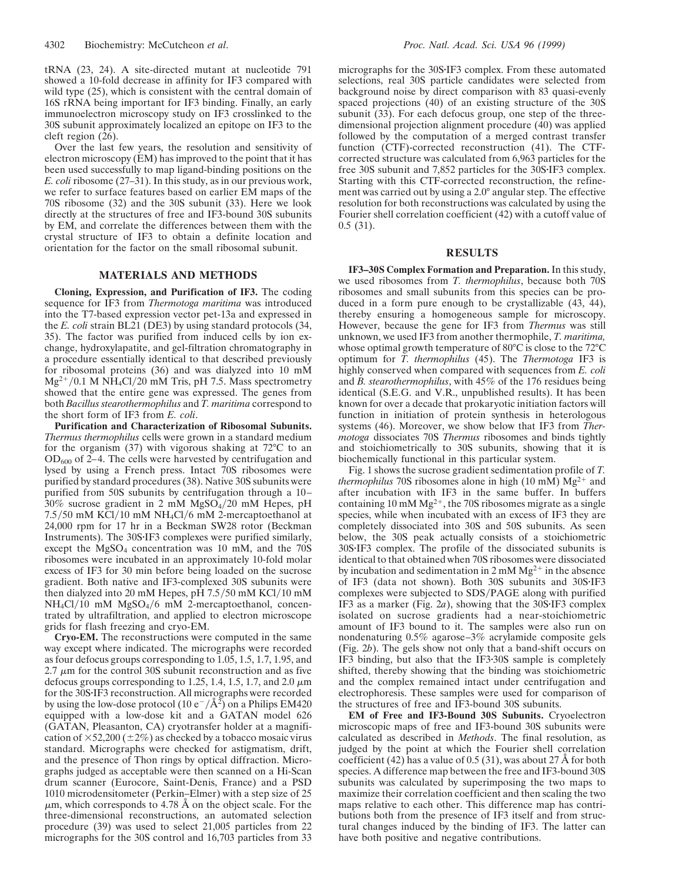tRNA (23, 24). A site-directed mutant at nucleotide 791 showed a 10-fold decrease in affinity for IF3 compared with wild type (25), which is consistent with the central domain of 16S rRNA being important for IF3 binding. Finally, an early immunoelectron microscopy study on IF3 crosslinked to the 30S subunit approximately localized an epitope on IF3 to the cleft region (26).

Over the last few years, the resolution and sensitivity of electron microscopy (EM) has improved to the point that it has been used successfully to map ligand-binding positions on the *E. coli* ribosome (27–31). In this study, as in our previous work, we refer to surface features based on earlier EM maps of the 70S ribosome (32) and the 30S subunit (33). Here we look directly at the structures of free and IF3-bound 30S subunits by EM, and correlate the differences between them with the crystal structure of IF3 to obtain a definite location and orientation for the factor on the small ribosomal subunit.

# **MATERIALS AND METHODS**

**Cloning, Expression, and Purification of IF3.** The coding sequence for IF3 from *Thermotoga maritima* was introduced into the T7-based expression vector pet-13a and expressed in the *E. coli* strain BL21 (DE3) by using standard protocols (34, 35). The factor was purified from induced cells by ion exchange, hydroxylapatite, and gel-filtration chromatography in a procedure essentially identical to that described previously for ribosomal proteins (36) and was dialyzed into 10 mM  $Mg^{2+}/0.1$  M NH<sub>4</sub>Cl/20 mM Tris, pH 7.5. Mass spectrometry showed that the entire gene was expressed. The genes from both *Bacillus stearothermophilus* and *T. maritima* correspond to the short form of IF3 from *E. coli*.

**Purification and Characterization of Ribosomal Subunits.** *Thermus thermophilus* cells were grown in a standard medium for the organism (37) with vigorous shaking at 72°C to an  $OD<sub>600</sub>$  of 2–4. The cells were harvested by centrifugation and lysed by using a French press. Intact 70S ribosomes were purified by standard procedures (38). Native 30S subunits were purified from 50S subunits by centrifugation through a 10–  $30\%$  sucrose gradient in 2 mM MgSO<sub>4</sub>/20 mM Hepes, pH  $7.5/50$  mM KCl/10 mM NH<sub>4</sub>Cl/6 mM 2-mercaptoethanol at 24,000 rpm for 17 hr in a Beckman SW28 rotor (Beckman Instruments). The 30S·IF3 complexes were purified similarly, except the  $MgSO_4$  concentration was 10 mM, and the 70S ribosomes were incubated in an approximately 10-fold molar excess of IF3 for 30 min before being loaded on the sucrose gradient. Both native and IF3-complexed 30S subunits were then dialyzed into 20 mM Hepes, pH  $7.5/50$  mM KCl $/10$  mM  $NH<sub>4</sub>Cl/10$  mM  $MgSO<sub>4</sub>/6$  mM 2-mercaptoethanol, concentrated by ultrafiltration, and applied to electron microscope grids for flash freezing and cryo-EM.

**Cryo-EM.** The reconstructions were computed in the same way except where indicated. The micrographs were recorded as four defocus groups corresponding to 1.05, 1.5, 1.7, 1.95, and 2.7  $\mu$ m for the control 30S subunit reconstruction and as five defocus groups corresponding to 1.25, 1.4, 1.5, 1.7, and 2.0  $\mu$ m for the 30S·IF3 reconstruction. All micrographs were recorded by using the low-dose protocol (10  $e^{-}/\text{\AA}^2$ ) on a Philips EM420 equipped with a low-dose kit and a GATAN model 626 (GATAN, Pleasanton, CA) cryotransfer holder at a magnification of  $\times$ 52,200 ( $\pm$ 2%) as checked by a tobacco mosaic virus standard. Micrographs were checked for astigmatism, drift, and the presence of Thon rings by optical diffraction. Micrographs judged as acceptable were then scanned on a Hi-Scan drum scanner (Eurocore, Saint-Denis, France) and a PSD 1010 microdensitometer (Perkin–Elmer) with a step size of 25  $\mu$ m, which corresponds to 4.78 Å on the object scale. For the three-dimensional reconstructions, an automated selection procedure (39) was used to select 21,005 particles from 22 micrographs for the 30S control and 16,703 particles from 33

micrographs for the 30S. IF3 complex. From these automated selections, real 30S particle candidates were selected from background noise by direct comparison with 83 quasi-evenly spaced projections (40) of an existing structure of the 30S subunit (33). For each defocus group, one step of the threedimensional projection alignment procedure (40) was applied followed by the computation of a merged contrast transfer function (CTF)-corrected reconstruction (41). The CTFcorrected structure was calculated from 6,963 particles for the free 30S subunit and 7,852 particles for the 30S·IF3 complex. Starting with this CTF-corrected reconstruction, the refinement was carried out by using a 2.0° angular step. The effective resolution for both reconstructions was calculated by using the Fourier shell correlation coefficient (42) with a cutoff value of 0.5 (31).

### **RESULTS**

**IF3–30S Complex Formation and Preparation.** In this study, we used ribosomes from *T. thermophilus*, because both 70S ribosomes and small subunits from this species can be produced in a form pure enough to be crystallizable (43, 44), thereby ensuring a homogeneous sample for microscopy. However, because the gene for IF3 from *Thermus* was still unknown, we used IF3 from another thermophile, *T. maritima,* whose optimal growth temperature of 80°C is close to the 72°C optimum for *T. thermophilus* (45). The *Thermotoga* IF3 is highly conserved when compared with sequences from *E. coli* and *B. stearothermophilus*, with 45% of the 176 residues being identical (S.E.G. and V.R., unpublished results). It has been known for over a decade that prokaryotic initiation factors will function in initiation of protein synthesis in heterologous systems (46). Moreover, we show below that IF3 from *Thermotoga* dissociates 70S *Thermus* ribosomes and binds tightly and stoichiometrically to 30S subunits, showing that it is biochemically functional in this particular system.

Fig. 1 shows the sucrose gradient sedimentation profile of *T. thermophilus* 70S ribosomes alone in high (10 mM)  $Mg^{2+}$  and after incubation with IF3 in the same buffer. In buffers containing 10 mM  $Mg^{2+}$ , the 70S ribosomes migrate as a single species, while when incubated with an excess of IF3 they are completely dissociated into 30S and 50S subunits. As seen below, the 30S peak actually consists of a stoichiometric 30S·IF3 complex. The profile of the dissociated subunits is identical to that obtained when 70S ribosomes were dissociated by incubation and sedimentation in 2 mM  $Mg^{2+}$  in the absence of IF3 (data not shown). Both 30S subunits and 30S-IF3 complexes were subjected to SDS/PAGE along with purified IF3 as a marker (Fig.  $2a$ ), showing that the 30S $\cdot$ IF3 complex isolated on sucrose gradients had a near-stoichiometric amount of IF3 bound to it. The samples were also run on nondenaturing 0.5% agarose–3% acrylamide composite gels (Fig. 2*b*). The gels show not only that a band-shift occurs on IF3 binding, but also that the IF3.30S sample is completely shifted, thereby showing that the binding was stoichiometric and the complex remained intact under centrifugation and electrophoresis. These samples were used for comparison of the structures of free and IF3-bound 30S subunits.

**EM of Free and IF3-Bound 30S Subunits.** Cryoelectron microscopic maps of free and IF3-bound 30S subunits were calculated as described in *Methods*. The final resolution, as judged by the point at which the Fourier shell correlation coefficient (42) has a value of 0.5 (31), was about 27 Å for both species. A difference map between the free and IF3-bound 30S subunits was calculated by superimposing the two maps to maximize their correlation coefficient and then scaling the two maps relative to each other. This difference map has contributions both from the presence of IF3 itself and from structural changes induced by the binding of IF3. The latter can have both positive and negative contributions.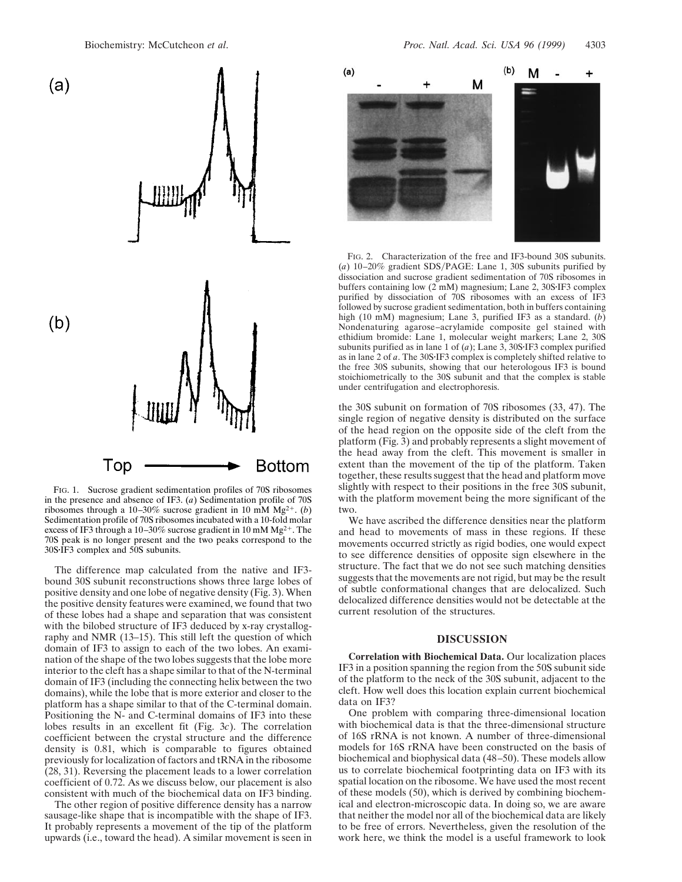

FIG. 1. Sucrose gradient sedimentation profiles of 70S ribosomes in the presence and absence of IF3. (*a*) Sedimentation profile of 70S ribosomes through a 10–30% sucrose gradient in 10 mM Mg<sup>2+</sup>. (*b*) Sedimentation profile of 70S ribosomes incubated with a 10-fold molar excess of IF3 through a 10-30% sucrose gradient in 10 mM  $Mg^{2+}$ . The 70S peak is no longer present and the two peaks correspond to the  $30S\cdot IF3$  complex and  $50S$  subunits.

The difference map calculated from the native and IF3 bound 30S subunit reconstructions shows three large lobes of positive density and one lobe of negative density (Fig. 3). When the positive density features were examined, we found that two of these lobes had a shape and separation that was consistent with the bilobed structure of IF3 deduced by x-ray crystallography and NMR (13–15). This still left the question of which domain of IF3 to assign to each of the two lobes. An examination of the shape of the two lobes suggests that the lobe more interior to the cleft has a shape similar to that of the N-terminal domain of IF3 (including the connecting helix between the two domains), while the lobe that is more exterior and closer to the platform has a shape similar to that of the C-terminal domain. Positioning the N- and C-terminal domains of IF3 into these lobes results in an excellent fit (Fig. 3*c*). The correlation coefficient between the crystal structure and the difference density is 0.81, which is comparable to figures obtained previously for localization of factors and tRNA in the ribosome (28, 31). Reversing the placement leads to a lower correlation coefficient of 0.72. As we discuss below, our placement is also consistent with much of the biochemical data on IF3 binding.

The other region of positive difference density has a narrow sausage-like shape that is incompatible with the shape of IF3. It probably represents a movement of the tip of the platform upwards (i.e., toward the head). A similar movement is seen in



FIG. 2. Characterization of the free and IF3-bound 30S subunits. (*a*) 10–20% gradient SDS/PAGE: Lane 1, 30S subunits purified by dissociation and sucrose gradient sedimentation of 70S ribosomes in buffers containing low  $(2 \text{ mM})$  magnesium; Lane  $2$ ,  $30S·IF3$  complex purified by dissociation of 70S ribosomes with an excess of IF3 followed by sucrose gradient sedimentation, both in buffers containing high (10 mM) magnesium; Lane 3, purified IF3 as a standard. (*b*) Nondenaturing agarose–acrylamide composite gel stained with ethidium bromide: Lane 1, molecular weight markers; Lane 2, 30S subunits purified as in lane 1 of  $(a)$ ; Lane 3, 30S·IF3 complex purified as in lane 2 of *a*. The 30S·IF3 complex is completely shifted relative to the free 30S subunits, showing that our heterologous IF3 is bound stoichiometrically to the 30S subunit and that the complex is stable under centrifugation and electrophoresis.

the 30S subunit on formation of 70S ribosomes (33, 47). The single region of negative density is distributed on the surface of the head region on the opposite side of the cleft from the platform (Fig. 3) and probably represents a slight movement of the head away from the cleft. This movement is smaller in extent than the movement of the tip of the platform. Taken together, these results suggest that the head and platform move slightly with respect to their positions in the free 30S subunit, with the platform movement being the more significant of the two.

We have ascribed the difference densities near the platform and head to movements of mass in these regions. If these movements occurred strictly as rigid bodies, one would expect to see difference densities of opposite sign elsewhere in the structure. The fact that we do not see such matching densities suggests that the movements are not rigid, but may be the result of subtle conformational changes that are delocalized. Such delocalized difference densities would not be detectable at the current resolution of the structures.

## **DISCUSSION**

**Correlation with Biochemical Data.** Our localization places IF3 in a position spanning the region from the 50S subunit side of the platform to the neck of the 30S subunit, adjacent to the cleft. How well does this location explain current biochemical data on IF3?

One problem with comparing three-dimensional location with biochemical data is that the three-dimensional structure of 16S rRNA is not known. A number of three-dimensional models for 16S rRNA have been constructed on the basis of biochemical and biophysical data (48–50). These models allow us to correlate biochemical footprinting data on IF3 with its spatial location on the ribosome. We have used the most recent of these models (50), which is derived by combining biochemical and electron-microscopic data. In doing so, we are aware that neither the model nor all of the biochemical data are likely to be free of errors. Nevertheless, given the resolution of the work here, we think the model is a useful framework to look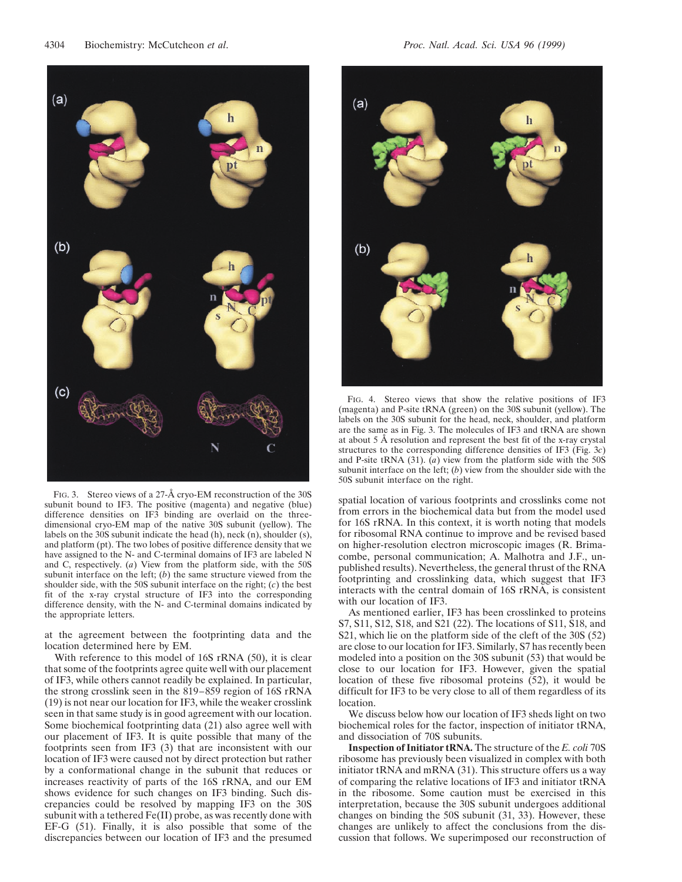

FIG. 3. Stereo views of a 27-Å cryo-EM reconstruction of the 30S subunit bound to IF3. The positive (magenta) and negative (blue) difference densities on IF3 binding are overlaid on the threedimensional cryo-EM map of the native 30S subunit (yellow). The labels on the 30S subunit indicate the head (h), neck (n), shoulder (s), and platform (pt). The two lobes of positive difference density that we have assigned to the N- and C-terminal domains of IF3 are labeled N and C, respectively. (*a*) View from the platform side, with the 50S subunit interface on the left; (*b*) the same structure viewed from the shoulder side, with the 50S subunit interface on the right; (*c*) the best fit of the x-ray crystal structure of IF3 into the corresponding difference density, with the N- and C-terminal domains indicated by the appropriate letters.

at the agreement between the footprinting data and the location determined here by EM.

With reference to this model of 16S rRNA (50), it is clear that some of the footprints agree quite well with our placement of IF3, while others cannot readily be explained. In particular, the strong crosslink seen in the 819–859 region of 16S rRNA (19) is not near our location for IF3, while the weaker crosslink seen in that same study is in good agreement with our location. Some biochemical footprinting data (21) also agree well with our placement of IF3. It is quite possible that many of the footprints seen from IF3 (3) that are inconsistent with our location of IF3 were caused not by direct protection but rather by a conformational change in the subunit that reduces or increases reactivity of parts of the 16S rRNA, and our EM shows evidence for such changes on IF3 binding. Such discrepancies could be resolved by mapping IF3 on the 30S subunit with a tethered Fe(II) probe, as was recently done with EF-G (51). Finally, it is also possible that some of the discrepancies between our location of IF3 and the presumed



FIG. 4. Stereo views that show the relative positions of IF3 (magenta) and P-site tRNA (green) on the 30S subunit (yellow). The labels on the 30S subunit for the head, neck, shoulder, and platform are the same as in Fig. 3. The molecules of IF3 and tRNA are shown at about 5 Å resolution and represent the best fit of the x-ray crystal structures to the corresponding difference densities of IF3 (Fig. 3*c*) and P-site tRNA (31). (*a*) view from the platform side with the 50S subunit interface on the left; (*b*) view from the shoulder side with the 50S subunit interface on the right.

spatial location of various footprints and crosslinks come not from errors in the biochemical data but from the model used for 16S rRNA. In this context, it is worth noting that models for ribosomal RNA continue to improve and be revised based on higher-resolution electron microscopic images (R. Brimacombe, personal communication; A. Malhotra and J.F., unpublished results). Nevertheless, the general thrust of the RNA footprinting and crosslinking data, which suggest that IF3 interacts with the central domain of 16S rRNA, is consistent with our location of IF3.

As mentioned earlier, IF3 has been crosslinked to proteins S7, S11, S12, S18, and S21 (22). The locations of S11, S18, and S21, which lie on the platform side of the cleft of the 30S (52) are close to our location for IF3. Similarly, S7 has recently been modeled into a position on the 30S subunit (53) that would be close to our location for IF3. However, given the spatial location of these five ribosomal proteins (52), it would be difficult for IF3 to be very close to all of them regardless of its location.

We discuss below how our location of IF3 sheds light on two biochemical roles for the factor, inspection of initiator tRNA, and dissociation of 70S subunits.

**Inspection of Initiator tRNA.** The structure of the *E. coli* 70S ribosome has previously been visualized in complex with both initiator tRNA and mRNA (31). This structure offers us a way of comparing the relative locations of IF3 and initiator tRNA in the ribosome. Some caution must be exercised in this interpretation, because the 30S subunit undergoes additional changes on binding the 50S subunit (31, 33). However, these changes are unlikely to affect the conclusions from the discussion that follows. We superimposed our reconstruction of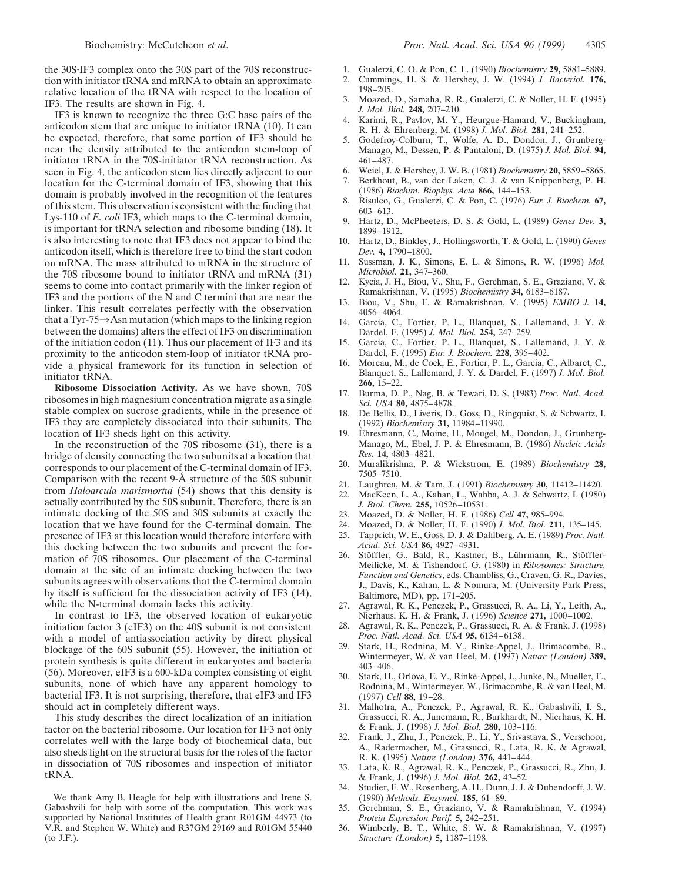the 30S-IF3 complex onto the 30S part of the 70S reconstruction with initiator tRNA and mRNA to obtain an approximate relative location of the tRNA with respect to the location of IF3. The results are shown in Fig. 4.

IF3 is known to recognize the three G:C base pairs of the anticodon stem that are unique to initiator tRNA (10). It can be expected, therefore, that some portion of IF3 should be near the density attributed to the anticodon stem-loop of initiator tRNA in the 70S-initiator tRNA reconstruction. As seen in Fig. 4, the anticodon stem lies directly adjacent to our location for the C-terminal domain of IF3, showing that this domain is probably involved in the recognition of the features of this stem. This observation is consistent with the finding that Lys-110 of *E. coli* IF3, which maps to the C-terminal domain, is important for tRNA selection and ribosome binding (18). It is also interesting to note that IF3 does not appear to bind the anticodon itself, which is therefore free to bind the start codon on mRNA. The mass attributed to mRNA in the structure of the 70S ribosome bound to initiator tRNA and mRNA (31) seems to come into contact primarily with the linker region of IF3 and the portions of the N and C termini that are near the linker. This result correlates perfectly with the observation that a Tyr-75 $\rightarrow$ Asn mutation (which maps to the linking region between the domains) alters the effect of IF3 on discrimination of the initiation codon (11). Thus our placement of IF3 and its proximity to the anticodon stem-loop of initiator tRNA provide a physical framework for its function in selection of initiator tRNA.

**Ribosome Dissociation Activity.** As we have shown, 70S ribosomes in high magnesium concentration migrate as a single stable complex on sucrose gradients, while in the presence of IF3 they are completely dissociated into their subunits. The location of IF3 sheds light on this activity.

In the reconstruction of the 70S ribosome (31), there is a bridge of density connecting the two subunits at a location that corresponds to our placement of the C-terminal domain of IF3. Comparison with the recent 9-Å structure of the 50S subunit from *Haloarcula marismortui* (54) shows that this density is actually contributed by the 50S subunit. Therefore, there is an intimate docking of the 50S and 30S subunits at exactly the location that we have found for the C-terminal domain. The presence of IF3 at this location would therefore interfere with this docking between the two subunits and prevent the formation of 70S ribosomes. Our placement of the C-terminal domain at the site of an intimate docking between the two subunits agrees with observations that the C-terminal domain by itself is sufficient for the dissociation activity of IF3 (14), while the N-terminal domain lacks this activity.

In contrast to IF3, the observed location of eukaryotic initiation factor 3 (eIF3) on the 40S subunit is not consistent with a model of antiassociation activity by direct physical blockage of the 60S subunit (55). However, the initiation of protein synthesis is quite different in eukaryotes and bacteria (56). Moreover, eIF3 is a 600-kDa complex consisting of eight subunits, none of which have any apparent homology to bacterial IF3. It is not surprising, therefore, that eIF3 and IF3 should act in completely different ways.

This study describes the direct localization of an initiation factor on the bacterial ribosome. Our location for IF3 not only correlates well with the large body of biochemical data, but also sheds light on the structural basis for the roles of the factor in dissociation of 70S ribosomes and inspection of initiator tRNA.

We thank Amy B. Heagle for help with illustrations and Irene S. Gabashvili for help with some of the computation. This work was supported by National Institutes of Health grant R01GM 44973 (to V.R. and Stephen W. White) and R37GM 29169 and R01GM 55440 (to J.F.).

- 1. Gualerzi, C. O. & Pon, C. L. (1990) *Biochemistry* **29,** 5881–5889. 2. Cummings, H. S. & Hershey, J. W. (1994) *J. Bacteriol.* **176,** 198–205.
- 3. Moazed, D., Samaha, R. R., Gualerzi, C. & Noller, H. F. (1995) *J. Mol. Biol.* **248,** 207–210.
- 4. Karimi, R., Pavlov, M. Y., Heurgue-Hamard, V., Buckingham, R. H. & Ehrenberg, M. (1998) *J. Mol. Biol.* **281,** 241–252.
- 5. Godefroy-Colburn, T., Wolfe, A. D., Dondon, J., Grunberg-Manago, M., Dessen, P. & Pantaloni, D. (1975) *J. Mol. Biol.* **94,** 461–487.
- 6. Weiel, J. & Hershey, J. W. B. (1981) *Biochemistry* **20,** 5859–5865.
- 7. Berkhout, B., van der Laken, C. J. & van Knippenberg, P. H. (1986) *Biochim. Biophys. Acta* **866,** 144–153.
- 8. Risuleo, G., Gualerzi, C. & Pon, C. (1976) *Eur. J. Biochem.* **67,** 603–613.
- 9. Hartz, D., McPheeters, D. S. & Gold, L. (1989) *Genes Dev.* **3,** 1899–1912.
- 10. Hartz, D., Binkley, J., Hollingsworth, T. & Gold, L. (1990) *Genes Dev.* **4,** 1790–1800.
- 11. Sussman, J. K., Simons, E. L. & Simons, R. W. (1996) *Mol. Microbiol.* **21,** 347–360.
- Kycia, J. H., Biou, V., Shu, F., Gerchman, S. E., Graziano, V. & Ramakrishnan, V. (1995) *Biochemistry* **34,** 6183–6187.
- 13. Biou, V., Shu, F. & Ramakrishnan, V. (1995) *EMBO J.* **14,** 4056–4064.
- 14. Garcia, C., Fortier, P. L., Blanquet, S., Lallemand, J. Y. & Dardel, F. (1995) *J. Mol. Biol.* **254,** 247–259.
- 15. Garcia, C., Fortier, P. L., Blanquet, S., Lallemand, J. Y. & Dardel, F. (1995) *Eur. J. Biochem.* **228,** 395–402.
- 16. Moreau, M., de Cock, E., Fortier, P. L., Garcia, C., Albaret, C., Blanquet, S., Lallemand, J. Y. & Dardel, F. (1997) *J. Mol. Biol.* **266,** 15–22.
- 17. Burma, D. P., Nag, B. & Tewari, D. S. (1983) *Proc. Natl. Acad. Sci. USA* **80,** 4875–4878.
- 18. De Bellis, D., Liveris, D., Goss, D., Ringquist, S. & Schwartz, I. (1992) *Biochemistry* **31,** 11984–11990.
- 19. Ehresmann, C., Moine, H., Mougel, M., Dondon, J., Grunberg-Manago, M., Ebel, J. P. & Ehresmann, B. (1986) *Nucleic Acids Res.* **14,** 4803–4821.
- 20. Muralikrishna, P. & Wickstrom, E. (1989) *Biochemistry* **28,** 7505–7510.
- 21. Laughrea, M. & Tam, J. (1991) *Biochemistry* **30,** 11412–11420.
- MacKeen, L. A., Kahan, L., Wahba, A. J. & Schwartz, I. (1980) *J. Biol. Chem.* **255,** 10526–10531.
- 23. Moazed, D. & Noller, H. F. (1986) *Cell* **47,** 985–994.
- 24. Moazed, D. & Noller, H. F. (1990) *J. Mol. Biol.* **211,** 135–145.
- 25. Tapprich, W. E., Goss, D. J. & Dahlberg, A. E. (1989) *Proc. Natl. Acad. Sci. USA* **86,** 4927–4931.
- 26. Stöffler, G., Bald, R., Kastner, B., Lührmann, R., Stöffler-Meilicke, M. & Tishendorf, G. (1980) in *Ribosomes: Structure, Function and Genetics*, eds. Chambliss, G., Craven, G. R., Davies, J., Davis, K., Kahan, L. & Nomura, M. (University Park Press, Baltimore, MD), pp. 171–205.
- 27. Agrawal, R. K., Penczek, P., Grassucci, R. A., Li, Y., Leith, A., Nierhaus, K. H. & Frank, J. (1996) *Science* **271,** 1000–1002.
- 28. Agrawal, R. K., Penczek, P., Grassucci, R. A. & Frank, J. (1998) *Proc. Natl. Acad. Sci. USA* **95,** 6134–6138.
- 29. Stark, H., Rodnina, M. V., Rinke-Appel, J., Brimacombe, R., Wintermeyer, W. & van Heel, M. (1997) *Nature (London)* **389,** 403–406.
- 30. Stark, H., Orlova, E. V., Rinke-Appel, J., Junke, N., Mueller, F., Rodnina, M., Wintermeyer, W., Brimacombe, R. & van Heel, M. (1997) *Cell* **88,** 19–28.
- 31. Malhotra, A., Penczek, P., Agrawal, R. K., Gabashvili, I. S., Grassucci, R. A., Junemann, R., Burkhardt, N., Nierhaus, K. H. & Frank, J. (1998) *J. Mol. Biol.* **280,** 103–116.
- 32. Frank, J., Zhu, J., Penczek, P., Li, Y., Srivastava, S., Verschoor, A., Radermacher, M., Grassucci, R., Lata, R. K. & Agrawal, R. K. (1995) *Nature (London)* **376,** 441–444.
- 33. Lata, K. R., Agrawal, R. K., Penczek, P., Grassucci, R., Zhu, J. & Frank, J. (1996) *J. Mol. Biol.* **262,** 43–52.
- 34. Studier, F. W., Rosenberg, A. H., Dunn, J. J. & Dubendorff, J. W. (1990) *Methods. Enzymol.* **185,** 61–89.
- 35. Gerchman, S. E., Graziano, V. & Ramakrishnan, V. (1994) *Protein Expression Purif.* **5,** 242–251.
- 36. Wimberly, B. T., White, S. W. & Ramakrishnan, V. (1997) *Structure (London)* **5,** 1187–1198.